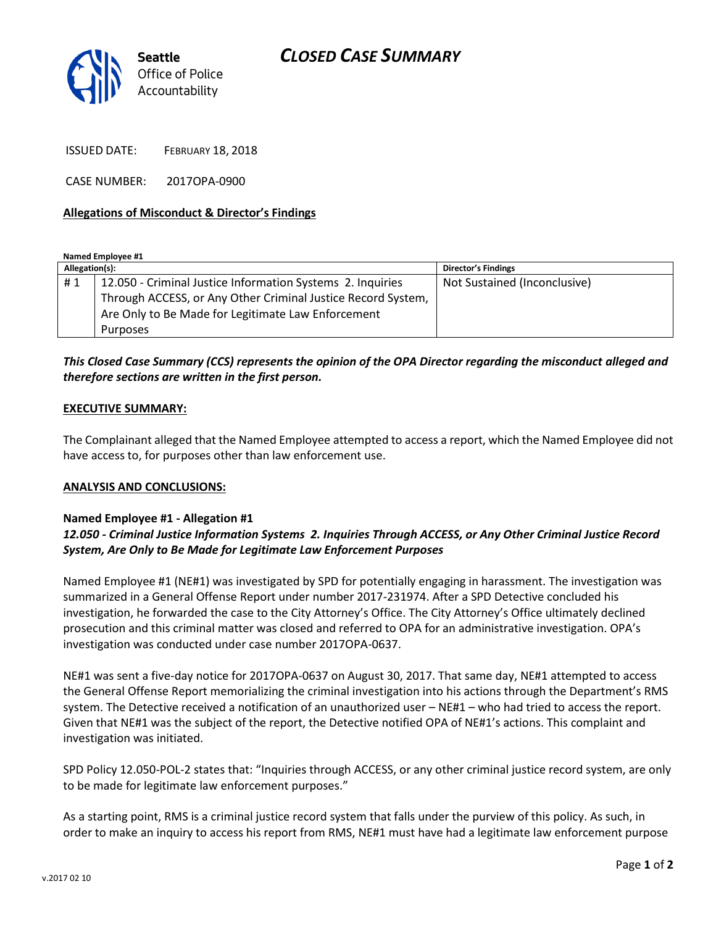

ISSUED DATE: FEBRUARY 18, 2018

CASE NUMBER: 2017OPA-0900

### **Allegations of Misconduct & Director's Findings**

**Named Employee #1**

| Allegation(s): |                                                              | <b>Director's Findings</b>   |
|----------------|--------------------------------------------------------------|------------------------------|
| #1             | 12.050 - Criminal Justice Information Systems 2. Inquiries   | Not Sustained (Inconclusive) |
|                | Through ACCESS, or Any Other Criminal Justice Record System, |                              |
|                | Are Only to Be Made for Legitimate Law Enforcement           |                              |
|                | Purposes                                                     |                              |

## *This Closed Case Summary (CCS) represents the opinion of the OPA Director regarding the misconduct alleged and therefore sections are written in the first person.*

#### **EXECUTIVE SUMMARY:**

The Complainant alleged that the Named Employee attempted to access a report, which the Named Employee did not have access to, for purposes other than law enforcement use.

#### **ANALYSIS AND CONCLUSIONS:**

#### **Named Employee #1 - Allegation #1**

## *12.050 - Criminal Justice Information Systems 2. Inquiries Through ACCESS, or Any Other Criminal Justice Record System, Are Only to Be Made for Legitimate Law Enforcement Purposes*

Named Employee #1 (NE#1) was investigated by SPD for potentially engaging in harassment. The investigation was summarized in a General Offense Report under number 2017-231974. After a SPD Detective concluded his investigation, he forwarded the case to the City Attorney's Office. The City Attorney's Office ultimately declined prosecution and this criminal matter was closed and referred to OPA for an administrative investigation. OPA's investigation was conducted under case number 2017OPA-0637.

NE#1 was sent a five-day notice for 2017OPA-0637 on August 30, 2017. That same day, NE#1 attempted to access the General Offense Report memorializing the criminal investigation into his actions through the Department's RMS system. The Detective received a notification of an unauthorized user – NE#1 – who had tried to access the report. Given that NE#1 was the subject of the report, the Detective notified OPA of NE#1's actions. This complaint and investigation was initiated.

SPD Policy 12.050-POL-2 states that: "Inquiries through ACCESS, or any other criminal justice record system, are only to be made for legitimate law enforcement purposes."

As a starting point, RMS is a criminal justice record system that falls under the purview of this policy. As such, in order to make an inquiry to access his report from RMS, NE#1 must have had a legitimate law enforcement purpose